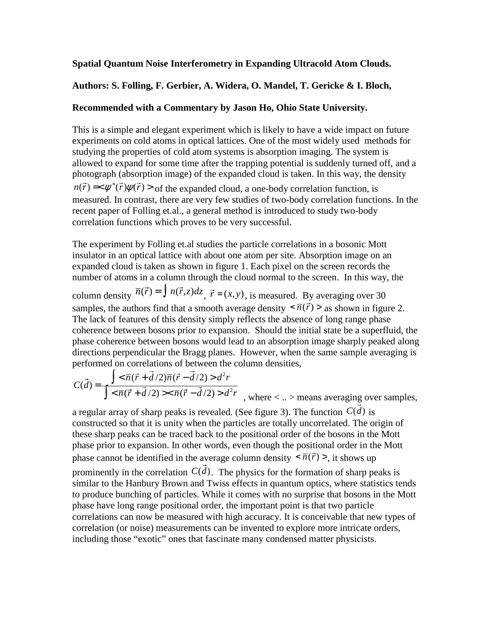## **Spatial Quantum Noise Interferometry in Expanding Ultracold Atom Clouds.**

## **Authors: S. Folling, F. Gerbier, A. Widera, O. Mandel, T. Gericke & I. Bloch,**

## **Recommended with a Commentary by Jason Ho, Ohio State University.**

This is a simple and elegant experiment which is likely to have a wide impact on future experiments on cold atoms in optical lattices. One of the most widely used methods for studying the properties of cold atom systems is absorption imaging. The system is allowed to expand for some time after the trapping potential is suddenly turned off, and a photograph (absorption image) of the expanded cloud is taken. In this way, the density  $n(\vec{r}) = \langle \psi^+(\vec{r}) \psi(\vec{r}) \rangle$  of the expanded cloud, a one-body correlation function, is measured. In contrast, there are very few studies of two-body correlation functions. In the recent paper of Folling et.al., a general method is introduced to study two-body correlation functions which proves to be very successful.

The experiment by Folling et.al studies the particle correlations in a bosonic Mott insulator in an optical lattice with about one atom per site. Absorption image on an expanded cloud is taken as shown in figure 1. Each pixel on the screen records the number of atoms in a column through the cloud normal to the screen. In this way, the

column density  $\overline{n}(\vec{r}) = \int n(\vec{r}, z) dz$ ,  $\vec{r} = (x, y)$ , is measured. By averaging over 30 samples, the authors find that a smooth average density  $\langle \overline{n}(\vec{r}) \rangle$  as shown in figure 2. The lack of features of this density simply reflects the absence of long range phase coherence between bosons prior to expansion. Should the initial state be a superfluid, the phase coherence between bosons would lead to an absorption image sharply peaked along directions perpendicular the Bragg planes. However, when the same sample averaging is performed on correlations of between the column densities,

$$
C(\vec{d}) = \frac{\int \langle \overline{n}(\vec{r} + \vec{d}/2) \overline{n}(\vec{r} - \vec{d}/2) \rangle d^2 r}{\int \langle \overline{n}(\vec{r} + \vec{d}/2) \rangle \langle \overline{n}(\vec{r} - \vec{d}/2) \rangle d^2 r}
$$
, where  $\langle \rangle$  means averaging over samples,

a regular array of sharp peaks is revealed. (See figure 3). The function  $C(\vec{d})$  is constructed so that it is unity when the particles are totally uncorrelated. The origin of these sharp peaks can be traced back to the positional order of the bosons in the Mott phase prior to expansion. In other words, even though the positional order in the Mott phase cannot be identified in the average column density  $\langle \overline{n}(\vec{r}) \rangle$ , it shows up

prominently in the correlation  $C(\vec{d})$ . The physics for the formation of sharp peaks is similar to the Hanbury Brown and Twiss effects in quantum optics, where statistics tends to produce bunching of particles. While it comes with no surprise that bosons in the Mott phase have long range positional order, the important point is that two particle correlations can now be measured with high accuracy. It is conceivable that new types of correlation (or noise) measurements can be invented to explore more intricate orders, including those "exotic" ones that fascinate many condensed matter physicists.